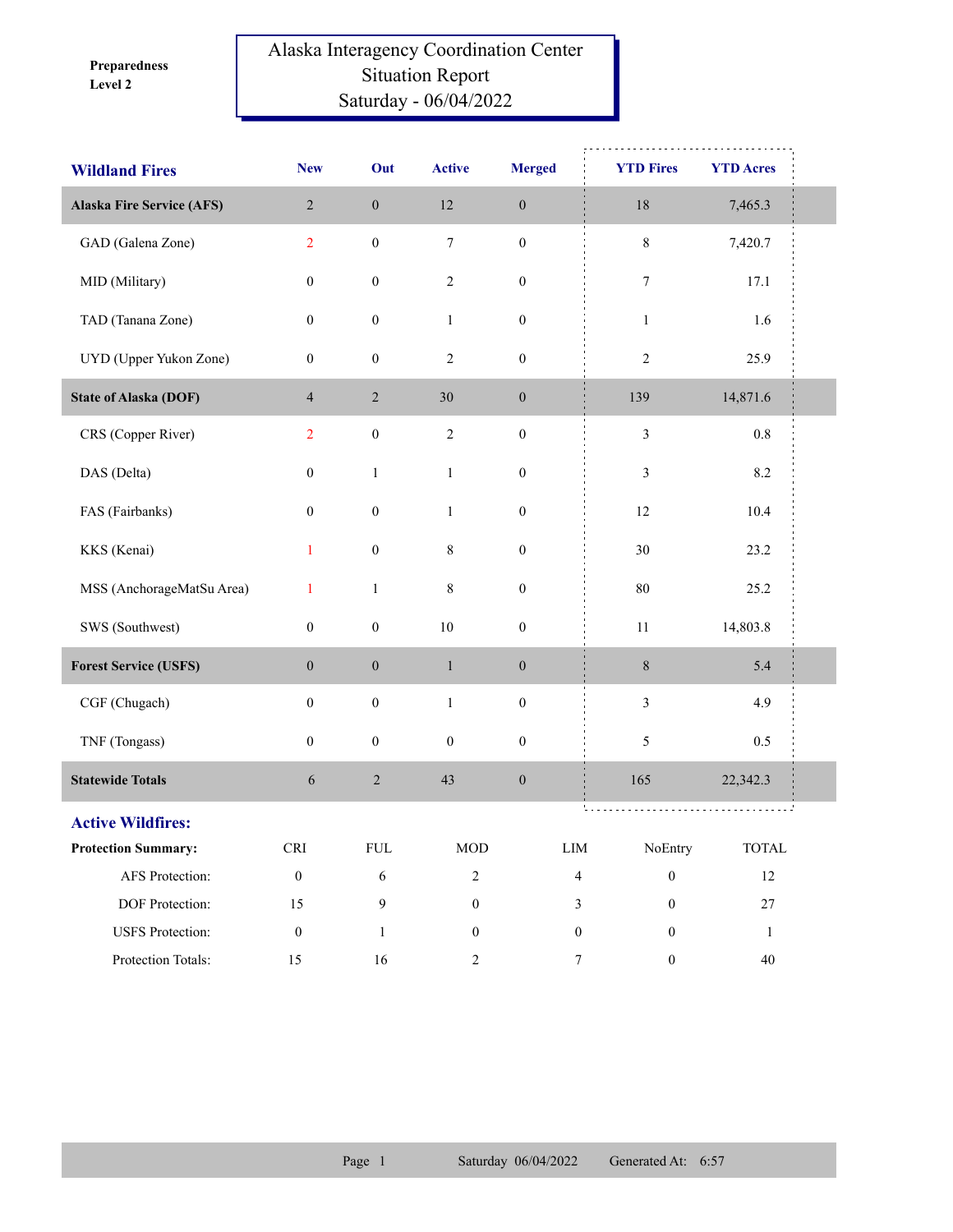**Level 2 Preparedness** 

## Alaska Interagency Coordination Center Situation Report Saturday - 06/04/2022

| <b>Wildland Fires</b>            | <b>New</b>                  | Out              | <b>Active</b>    | <b>Merged</b>    | <b>YTD Fires</b>                     | <b>YTD Acres</b>       |  |
|----------------------------------|-----------------------------|------------------|------------------|------------------|--------------------------------------|------------------------|--|
| <b>Alaska Fire Service (AFS)</b> | $\overline{2}$              | $\boldsymbol{0}$ | 12               | $\boldsymbol{0}$ | $18\,$                               | 7,465.3                |  |
| GAD (Galena Zone)                | $\overline{2}$              | $\boldsymbol{0}$ | $\tau$           | $\boldsymbol{0}$ | $\,8\,$                              | 7,420.7                |  |
| MID (Military)                   | $\boldsymbol{0}$            | $\boldsymbol{0}$ | $\sqrt{2}$       | $\boldsymbol{0}$ | 7                                    | 17.1                   |  |
| TAD (Tanana Zone)                | $\boldsymbol{0}$            | $\boldsymbol{0}$ | $\mathbf{1}$     | $\boldsymbol{0}$ | $\mathbf{1}$                         | 1.6                    |  |
| UYD (Upper Yukon Zone)           | $\boldsymbol{0}$            | $\boldsymbol{0}$ | $\sqrt{2}$       | $\boldsymbol{0}$ | $\overline{2}$                       | 25.9                   |  |
| <b>State of Alaska (DOF)</b>     | $\overline{4}$              | $\sqrt{2}$       | 30               | $\boldsymbol{0}$ | 139                                  | 14,871.6               |  |
| CRS (Copper River)               | $\overline{2}$              | $\boldsymbol{0}$ | $\sqrt{2}$       | $\boldsymbol{0}$ | $\mathfrak{Z}$                       | $0.8\,$                |  |
| DAS (Delta)                      | $\boldsymbol{0}$            | $\mathbf{1}$     | $\mathbf{1}$     | $\boldsymbol{0}$ | $\mathfrak{Z}$                       | 8.2                    |  |
| FAS (Fairbanks)                  | $\boldsymbol{0}$            | $\boldsymbol{0}$ | $\mathbf{1}$     | $\boldsymbol{0}$ | 12                                   | 10.4                   |  |
| KKS (Kenai)                      | $\mathbf{1}$                | $\boldsymbol{0}$ | 8                | $\boldsymbol{0}$ | $30\,$                               | 23.2                   |  |
| MSS (AnchorageMatSu Area)        | $\mathbf{1}$                | $\mathbf{1}$     | $\,8\,$          | $\boldsymbol{0}$ | $80\,$                               | 25.2                   |  |
| SWS (Southwest)                  | $\boldsymbol{0}$            | $\boldsymbol{0}$ | $10\,$           | $\boldsymbol{0}$ | $11\,$                               | 14,803.8               |  |
| <b>Forest Service (USFS)</b>     | $\boldsymbol{0}$            | $\boldsymbol{0}$ | $\mathbf{1}$     | $\boldsymbol{0}$ | $\,8\,$                              | 5.4                    |  |
| CGF (Chugach)                    | $\boldsymbol{0}$            | $\boldsymbol{0}$ | $\,1\,$          | $\boldsymbol{0}$ | $\mathfrak{Z}$                       | 4.9                    |  |
| TNF (Tongass)                    | $\boldsymbol{0}$            | $\boldsymbol{0}$ | $\boldsymbol{0}$ | $\boldsymbol{0}$ | $\mathfrak{S}$                       | 0.5                    |  |
| <b>Statewide Totals</b>          | 6                           | $\sqrt{2}$       | 43               | $\boldsymbol{0}$ | 165                                  | 22,342.3               |  |
| <b>Active Wildfires:</b>         |                             |                  |                  |                  | <b>Contract</b>                      |                        |  |
| <b>Protection Summary:</b>       | $\ensuremath{\mathsf{CRI}}$ | ${\rm FUL}$      | <b>MOD</b>       | ${\rm LIM}$      | NoEntry                              | $\operatorname{TOTAL}$ |  |
| AFS Protection:                  | $\boldsymbol{0}$            | $\sqrt{6}$       | $\boldsymbol{2}$ |                  | $\overline{4}$<br>$\boldsymbol{0}$   | $12\,$                 |  |
| DOF Protection:                  | 15                          | 9                | $\boldsymbol{0}$ |                  | $\mathfrak{Z}$<br>$\boldsymbol{0}$   | $27\,$                 |  |
| <b>USFS</b> Protection:          | $\boldsymbol{0}$            | 1                | $\boldsymbol{0}$ |                  | $\boldsymbol{0}$<br>$\overline{0}$   | 1                      |  |
| Protection Totals:               | 15                          | $16\,$           | $\overline{2}$   |                  | $\boldsymbol{7}$<br>$\boldsymbol{0}$ | 40                     |  |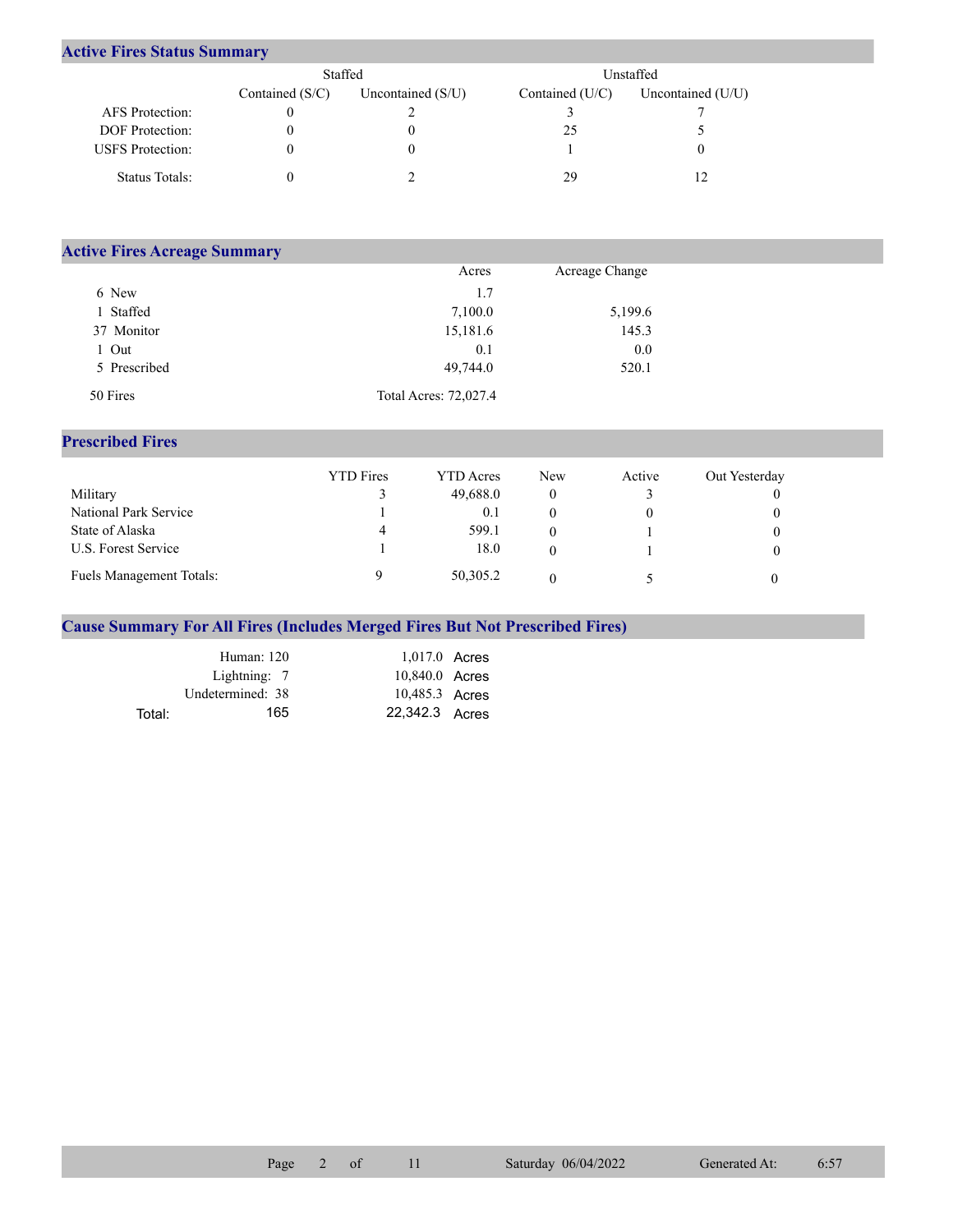## **Active Fires Status Summary**

|                         | Staffed           |                   | Unstaffed         |                   |  |
|-------------------------|-------------------|-------------------|-------------------|-------------------|--|
|                         | Contained $(S/C)$ | Uncontained (S/U) | Contained $(U/C)$ | Uncontained (U/U) |  |
| <b>AFS</b> Protection:  |                   |                   |                   |                   |  |
| <b>DOF</b> Protection:  |                   |                   | 25                |                   |  |
| <b>USFS</b> Protection: |                   |                   |                   |                   |  |
| Status Totals:          |                   |                   | 29                |                   |  |

| <b>Active Fires Acreage Summary</b> |                       |                |  |
|-------------------------------------|-----------------------|----------------|--|
|                                     | Acres                 | Acreage Change |  |
| 6 New                               | 1.7                   |                |  |
| Staffed                             | 7,100.0               | 5,199.6        |  |
| 37 Monitor                          | 15,181.6              | 145.3          |  |
| Out                                 | 0.1                   | 0.0            |  |
| 5 Prescribed                        | 49,744.0              | 520.1          |  |
| 50 Fires                            | Total Acres: 72,027.4 |                |  |

## **Prescribed Fires**

|                                 | <b>YTD</b> Fires | <b>YTD</b> Acres | <b>New</b> | Active | Out Yesterday |
|---------------------------------|------------------|------------------|------------|--------|---------------|
| Military                        |                  | 49,688.0         |            |        |               |
| National Park Service           |                  | 0.1              |            |        |               |
| State of Alaska                 | 4                | 599.1            |            |        |               |
| U.S. Forest Service             |                  | 18.0             |            |        |               |
| <b>Fuels Management Totals:</b> |                  | 50,305.2         |            |        |               |

## **Cause Summary For All Fires (Includes Merged Fires But Not Prescribed Fires)**

|        | Human: 120       | $1,017.0$ Acres |  |
|--------|------------------|-----------------|--|
|        | Lightning: 7     | 10,840.0 Acres  |  |
|        | Undetermined: 38 | 10,485.3 Acres  |  |
| Total: | 165              | 22,342.3 Acres  |  |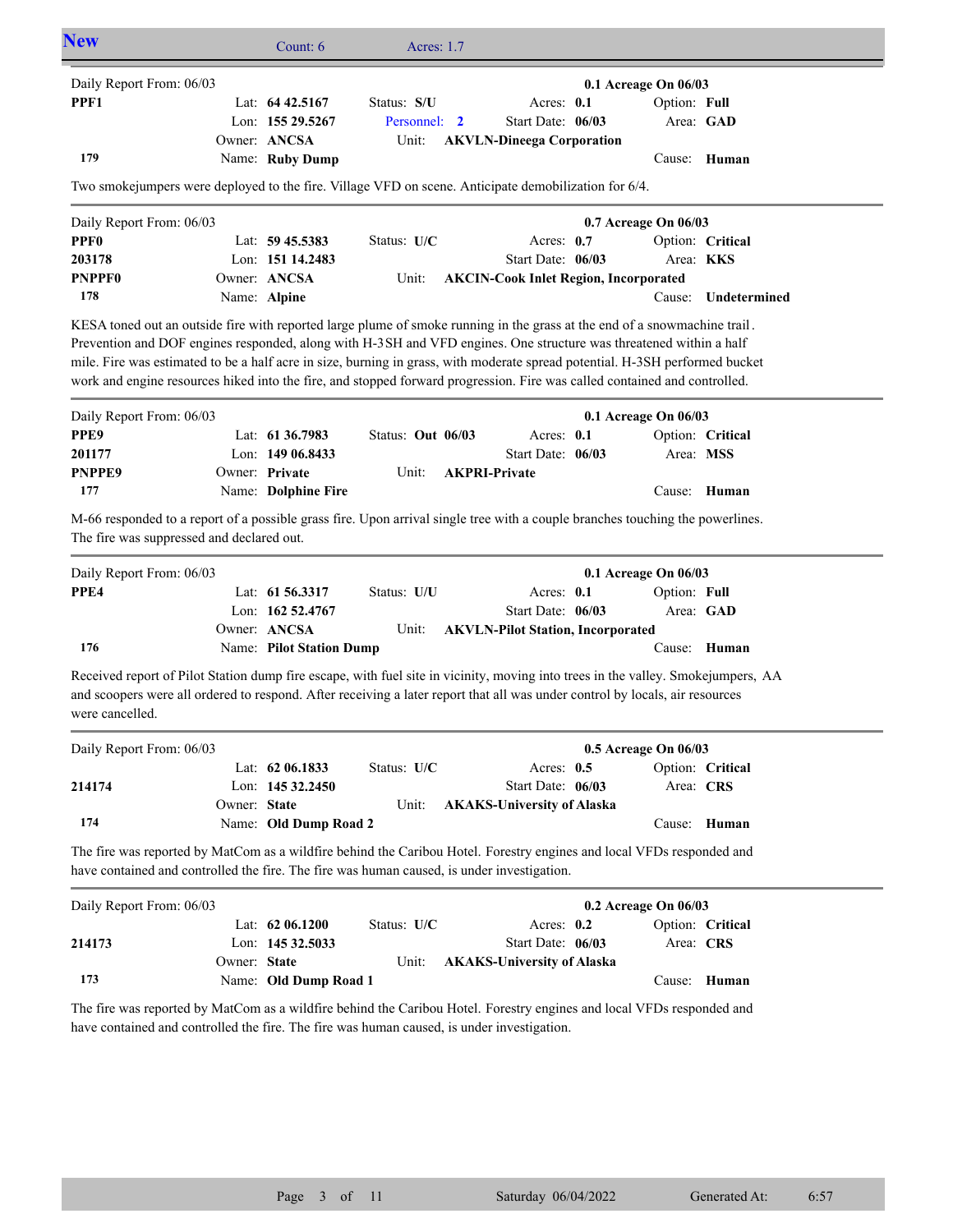| Daily Report From: 06/03                                                                                                                                                                                                                                                                                                                                                                                                                                                                                     |                     |                   |              |                                              | 0.1 Acreage On 06/03 |                  |
|--------------------------------------------------------------------------------------------------------------------------------------------------------------------------------------------------------------------------------------------------------------------------------------------------------------------------------------------------------------------------------------------------------------------------------------------------------------------------------------------------------------|---------------------|-------------------|--------------|----------------------------------------------|----------------------|------------------|
| PPF1                                                                                                                                                                                                                                                                                                                                                                                                                                                                                                         | Lat: $64\,42.5167$  | Status: S/U       |              | Acres: 0.1                                   | Option: Full         |                  |
|                                                                                                                                                                                                                                                                                                                                                                                                                                                                                                              | Lon: 155 29.5267    | Personnel:        | $\mathbf{2}$ | Start Date: 06/03                            |                      | Area: GAD        |
|                                                                                                                                                                                                                                                                                                                                                                                                                                                                                                              | Owner: ANCSA        | Unit:             |              | <b>AKVLN-Dineega Corporation</b>             |                      |                  |
| 179                                                                                                                                                                                                                                                                                                                                                                                                                                                                                                          | Name: Ruby Dump     |                   |              |                                              |                      | Cause: Human     |
| Two smokejumpers were deployed to the fire. Village VFD on scene. Anticipate demobilization for 6/4.                                                                                                                                                                                                                                                                                                                                                                                                         |                     |                   |              |                                              |                      |                  |
| Daily Report From: 06/03                                                                                                                                                                                                                                                                                                                                                                                                                                                                                     |                     |                   |              |                                              | 0.7 Acreage On 06/03 |                  |
| PPF <sub>0</sub>                                                                                                                                                                                                                                                                                                                                                                                                                                                                                             | Lat: 59 45.5383     | Status: U/C       |              | Acres: $0.7$                                 |                      | Option: Critical |
| 203178                                                                                                                                                                                                                                                                                                                                                                                                                                                                                                       | Lon: 151 14.2483    |                   |              | Start Date: 06/03                            | Area: KKS            |                  |
| <b>PNPPF0</b>                                                                                                                                                                                                                                                                                                                                                                                                                                                                                                | Owner: ANCSA        | Unit:             |              | <b>AKCIN-Cook Inlet Region, Incorporated</b> |                      |                  |
| 178                                                                                                                                                                                                                                                                                                                                                                                                                                                                                                          | Name: Alpine        |                   |              |                                              | Cause:               | Undetermined     |
|                                                                                                                                                                                                                                                                                                                                                                                                                                                                                                              |                     |                   |              |                                              |                      |                  |
| KESA toned out an outside fire with reported large plume of smoke running in the grass at the end of a snowmachine trail.<br>Prevention and DOF engines responded, along with H-3SH and VFD engines. One structure was threatened within a half<br>mile. Fire was estimated to be a half acre in size, burning in grass, with moderate spread potential. H-3SH performed bucket<br>work and engine resources hiked into the fire, and stopped forward progression. Fire was called contained and controlled. |                     |                   |              |                                              |                      |                  |
| Daily Report From: 06/03                                                                                                                                                                                                                                                                                                                                                                                                                                                                                     |                     |                   |              |                                              | 0.1 Acreage On 06/03 |                  |
|                                                                                                                                                                                                                                                                                                                                                                                                                                                                                                              | Lat: 61 36.7983     | Status: Out 06/03 |              | Acres: 0.1                                   |                      | Option: Critical |
|                                                                                                                                                                                                                                                                                                                                                                                                                                                                                                              | Lon: 149 06.8433    |                   |              | Start Date: 06/03                            | Area: MSS            |                  |
|                                                                                                                                                                                                                                                                                                                                                                                                                                                                                                              | Owner: Private      | Unit:             |              | <b>AKPRI-Private</b>                         |                      |                  |
| 177                                                                                                                                                                                                                                                                                                                                                                                                                                                                                                          | Name: Dolphine Fire |                   |              |                                              |                      | Cause: Human     |
|                                                                                                                                                                                                                                                                                                                                                                                                                                                                                                              |                     |                   |              |                                              |                      |                  |
| PPE9<br>201177<br><b>PNPPE9</b><br>M-66 responded to a report of a possible grass fire. Upon arrival single tree with a couple branches touching the powerlines.<br>The fire was suppressed and declared out.                                                                                                                                                                                                                                                                                                |                     |                   |              |                                              |                      |                  |
| Daily Report From: 06/03                                                                                                                                                                                                                                                                                                                                                                                                                                                                                     |                     |                   |              |                                              | 0.1 Acreage On 06/03 |                  |
| PPE4                                                                                                                                                                                                                                                                                                                                                                                                                                                                                                         | Lat: 61 56.3317     | Status: U/U       |              | Acres: 0.1                                   | Option: Full         |                  |
|                                                                                                                                                                                                                                                                                                                                                                                                                                                                                                              | Lon: 162 52.4767    |                   |              | Start Date: 06/03                            |                      | Area: GAD        |
|                                                                                                                                                                                                                                                                                                                                                                                                                                                                                                              | Owner: ANCSA        | Unit:             |              | <b>AKVLN-Pilot Station, Incorporated</b>     |                      |                  |

| Daily Report From: 06/03 |              |                       |               |                                  | $0.5$ Acreage On $06/03$ |                  |
|--------------------------|--------------|-----------------------|---------------|----------------------------------|--------------------------|------------------|
|                          |              | Lat: $62\,06.1833$    | Status: $U/C$ | Acres: $0.5$                     |                          | Option: Critical |
| 214174                   |              | Lon: $14532.2450$     |               | Start Date: $06/03$              | Area: CRS                |                  |
|                          | Owner: State |                       |               | Unit: AKAKS-University of Alaska |                          |                  |
| 174                      |              | Name: Old Dump Road 2 |               |                                  |                          | Cause: Human     |

The fire was reported by MatCom as a wildfire behind the Caribou Hotel. Forestry engines and local VFDs responded and have contained and controlled the fire. The fire was human caused, is under investigation.

| Daily Report From: 06/03 |              |                       |               |                                  | $0.2$ Acreage On $06/03$ |              |
|--------------------------|--------------|-----------------------|---------------|----------------------------------|--------------------------|--------------|
|                          |              | Lat: $62\,06.1200$    | Status: $U/C$ | Acres: $0.2$                     | Option: Critical         |              |
| 214173                   |              | Lon: $14532.5033$     |               | Start Date: 06/03                | Area: CRS                |              |
|                          | Owner: State |                       |               | Unit: AKAKS-University of Alaska |                          |              |
| 173                      |              | Name: Old Dump Road 1 |               |                                  |                          | Cause: Human |

The fire was reported by MatCom as a wildfire behind the Caribou Hotel. Forestry engines and local VFDs responded and have contained and controlled the fire. The fire was human caused, is under investigation.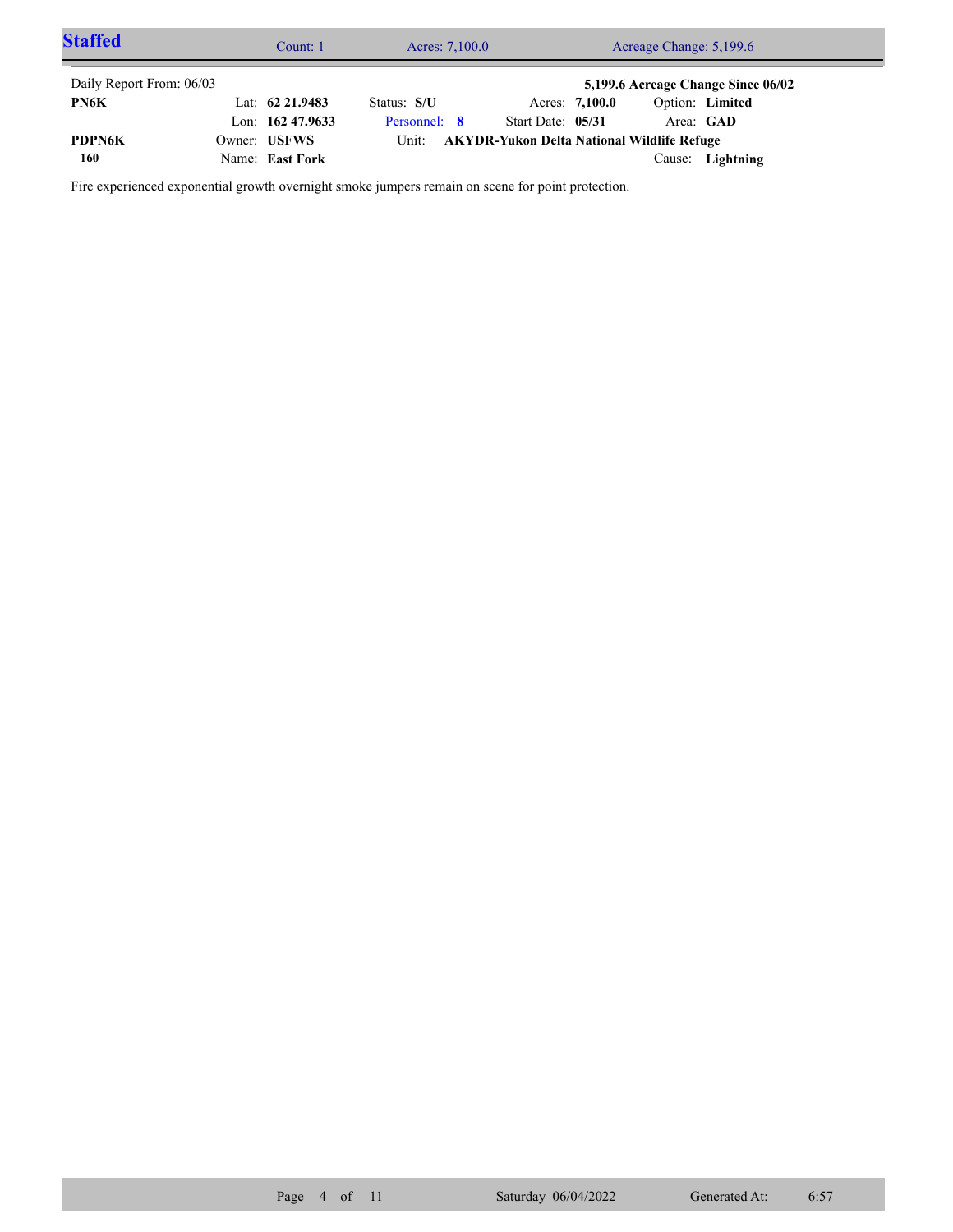| <b>Staffed</b>           | Count: 1           | Acreage Change: 5,199.6<br>Acres: 7,100.0 |                                                   |                |           |                                    |  |
|--------------------------|--------------------|-------------------------------------------|---------------------------------------------------|----------------|-----------|------------------------------------|--|
| Daily Report From: 06/03 |                    |                                           |                                                   |                |           | 5,199.6 Acreage Change Since 06/02 |  |
| PN6K                     | Lat: $62\,21.9483$ | Status: S/U                               |                                                   | Acres: 7,100.0 |           | Option: Limited                    |  |
|                          | Lon: $16247.9633$  | Personnel: 8                              | Start Date: 05/31                                 |                | Area: GAD |                                    |  |
| <b>PDPN6K</b>            | Owner: USFWS       | Unit:                                     | <b>AKYDR-Yukon Delta National Wildlife Refuge</b> |                |           |                                    |  |
| 160                      | Name: East Fork    |                                           |                                                   |                | Cause:    | Lightning                          |  |

Fire experienced exponential growth overnight smoke jumpers remain on scene for point protection.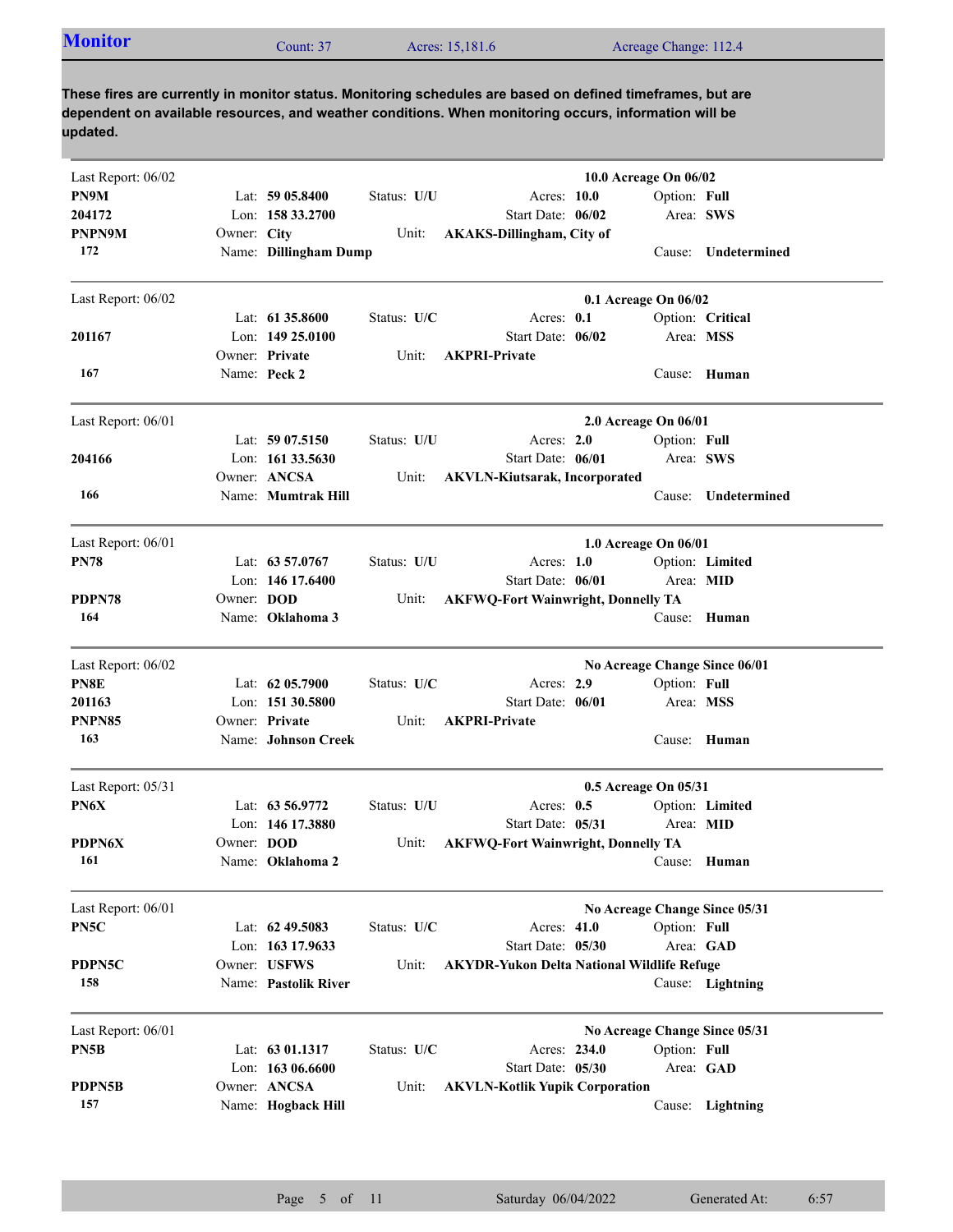| <b>Monitor</b><br>Acres: 15,181.6<br>Acreage Change: 112.4<br>Jount: 37 |  |
|-------------------------------------------------------------------------|--|
|-------------------------------------------------------------------------|--|

| Last Report: 06/02 |             |                       |             |                                                   | 10.0 Acreage On 06/02         |                     |
|--------------------|-------------|-----------------------|-------------|---------------------------------------------------|-------------------------------|---------------------|
| PN9M               |             | Lat: $5905.8400$      | Status: U/U | Acres: 10.0                                       |                               | Option: Full        |
| 204172             |             | Lon: 158 33.2700      |             | Start Date: 06/02                                 |                               | Area: SWS           |
| PNPN9M             | Owner: City |                       | Unit:       | <b>AKAKS-Dillingham, City of</b>                  |                               |                     |
| 172                |             | Name: Dillingham Dump |             |                                                   |                               | Cause: Undetermined |
| Last Report: 06/02 |             |                       |             |                                                   | 0.1 Acreage On 06/02          |                     |
|                    |             | Lat: $61\,35.8600$    | Status: U/C | Acres: 0.1                                        |                               | Option: Critical    |
| 201167             |             | Lon: $14925.0100$     |             | Start Date: 06/02                                 |                               | Area: MSS           |
|                    |             | Owner: Private        | Unit:       | <b>AKPRI-Private</b>                              |                               |                     |
| 167                |             | Name: Peck 2          |             |                                                   |                               | Cause: Human        |
| Last Report: 06/01 |             |                       |             |                                                   | 2.0 Acreage On 06/01          |                     |
|                    |             | Lat: $5907.5150$      | Status: U/U | Acres: 2.0                                        |                               | Option: Full        |
| 204166             |             | Lon: $161\,33.5630$   |             | Start Date: 06/01                                 |                               | Area: SWS           |
|                    |             | Owner: ANCSA          | Unit:       | <b>AKVLN-Kiutsarak, Incorporated</b>              |                               |                     |
| 166                |             | Name: Mumtrak Hill    |             |                                                   | Cause:                        | Undetermined        |
| Last Report: 06/01 |             |                       |             |                                                   |                               |                     |
|                    |             | Lat: $63\,57.0767$    |             | Acres: $1.0$                                      | 1.0 Acreage On 06/01          |                     |
| PN78               |             |                       | Status: U/U |                                                   |                               | Option: Limited     |
|                    |             | Lon: $146$ 17.6400    |             | Start Date: 06/01                                 |                               | Area: MID           |
| PDPN78             | Owner: DOD  |                       | Unit:       | <b>AKFWQ-Fort Wainwright, Donnelly TA</b>         |                               |                     |
| 164                |             | Name: Oklahoma 3      |             |                                                   | Cause:                        | Human               |
| Last Report: 06/02 |             |                       |             |                                                   | No Acreage Change Since 06/01 |                     |
| PN8E               |             | Lat: 62 05.7900       | Status: U/C | Acres: 2.9                                        |                               | Option: Full        |
| 201163             |             | Lon: 151 30.5800      |             | Start Date: 06/01                                 |                               | Area: MSS           |
| PNPN85             |             | Owner: Private        | Unit:       | <b>AKPRI-Private</b>                              |                               |                     |
| 163                |             | Name: Johnson Creek   |             |                                                   |                               | Cause: Human        |
| Last Report: 05/31 |             |                       |             |                                                   | 0.5 Acreage On 05/31          |                     |
| PN6X               |             | Lat: 63 56.9772       | Status: U/U | Acres: 0.5                                        |                               | Option: Limited     |
|                    |             | Lon: 146 17.3880      |             | Start Date: 05/31                                 |                               | Area: MID           |
| <b>PDPN6X</b>      | Owner: DOD  |                       | Unit:       | <b>AKFWQ-Fort Wainwright, Donnelly TA</b>         |                               |                     |
| 161                |             | Name: Oklahoma 2      |             |                                                   |                               | Cause: Human        |
| Last Report: 06/01 |             |                       |             |                                                   | No Acreage Change Since 05/31 |                     |
| PN5C               |             | Lat: $62\,49.5083$    | Status: U/C | Acres: 41.0                                       |                               | Option: Full        |
|                    |             | Lon: 163 17.9633      |             | Start Date: 05/30                                 |                               | Area: GAD           |
| PDPN5C             |             | Owner: USFWS          | Unit:       | <b>AKYDR-Yukon Delta National Wildlife Refuge</b> |                               |                     |
| 158                |             | Name: Pastolik River  |             |                                                   |                               | Cause: Lightning    |
|                    |             |                       |             |                                                   |                               |                     |
| Last Report: 06/01 |             |                       |             |                                                   | No Acreage Change Since 05/31 |                     |
| PN5B               |             | Lat: 63 01.1317       | Status: U/C | Acres: 234.0                                      |                               | Option: Full        |
|                    |             | Lon: 163 06.6600      |             | Start Date: 05/30                                 |                               | Area: GAD           |
| PDPN5B             |             | Owner: ANCSA          | Unit:       | <b>AKVLN-Kotlik Yupik Corporation</b>             |                               |                     |
| 157                |             | Name: Hogback Hill    |             |                                                   |                               | Cause: Lightning    |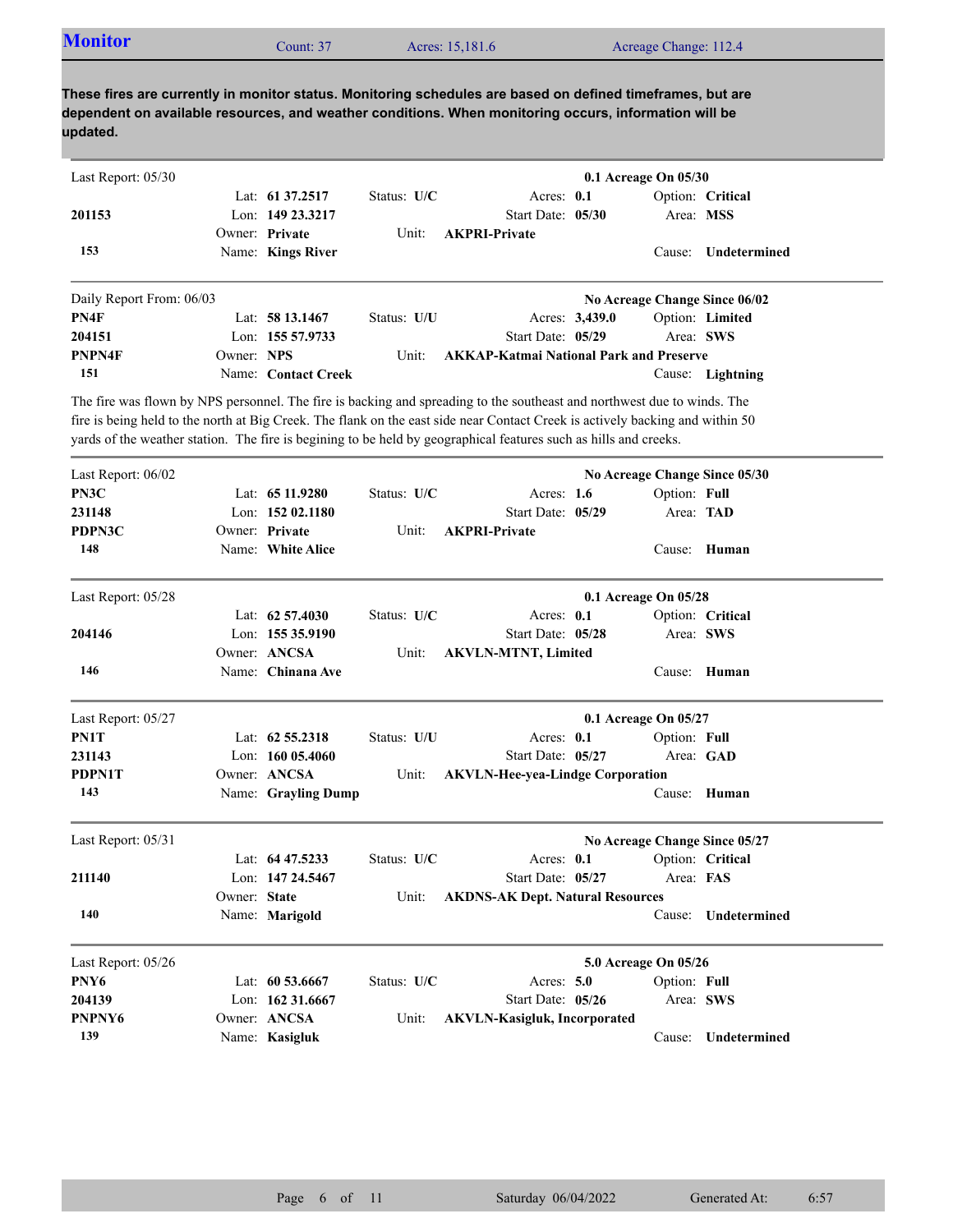| <b>Monitor</b> | Count: 37 | Acres: 15,181.6 | Acreage Change: 112.4 |  |
|----------------|-----------|-----------------|-----------------------|--|

| Last Report: 05/30       |              |                     |             |                                                                                                                               |                | 0.1 Acreage On 05/30 |                               |
|--------------------------|--------------|---------------------|-------------|-------------------------------------------------------------------------------------------------------------------------------|----------------|----------------------|-------------------------------|
|                          |              | Lat: 61 37.2517     | Status: U/C | Acres: $0.1$                                                                                                                  |                |                      | Option: Critical              |
| 201153                   |              | Lon: 149 23.3217    |             | Start Date: 05/30                                                                                                             |                |                      | Area: MSS                     |
|                          |              | Owner: Private      | Unit:       | <b>AKPRI-Private</b>                                                                                                          |                |                      |                               |
| 153                      |              | Name: Kings River   |             |                                                                                                                               |                | Cause:               | Undetermined                  |
| Daily Report From: 06/03 |              |                     |             |                                                                                                                               |                |                      | No Acreage Change Since 06/02 |
| PN4F                     |              | Lat: 58 13.1467     | Status: U/U |                                                                                                                               | Acres: 3,439.0 |                      | Option: Limited               |
| 204151                   |              | Lon: 155 57.9733    |             | Start Date: 05/29                                                                                                             |                |                      | Area: SWS                     |
| PNPN4F                   | Owner: NPS   |                     | Unit:       | <b>AKKAP-Katmai National Park and Preserve</b>                                                                                |                |                      |                               |
| 151                      |              | Name: Contact Creek |             |                                                                                                                               |                |                      | Cause: Lightning              |
|                          |              |                     |             | The fire was flown by NPS personnel. The fire is backing and spreading to the southeast and northwest due to winds. The       |                |                      |                               |
|                          |              |                     |             | fire is being held to the north at Big Creek. The flank on the east side near Contact Creek is actively backing and within 50 |                |                      |                               |
|                          |              |                     |             | yards of the weather station. The fire is begining to be held by geographical features such as hills and creeks.              |                |                      |                               |
| Last Report: 06/02       |              |                     |             |                                                                                                                               |                |                      | No Acreage Change Since 05/30 |
| PN3C                     |              | Lat: 65 11.9280     | Status: U/C | Acres: $1.6$                                                                                                                  |                | Option: Full         |                               |
| 231148                   |              | Lon: 152 02.1180    |             | Start Date: 05/29                                                                                                             |                |                      | Area: TAD                     |
| PDPN3C                   |              | Owner: Private      | Unit:       | <b>AKPRI-Private</b>                                                                                                          |                |                      |                               |
| 148                      |              | Name: White Alice   |             |                                                                                                                               |                | Cause:               | Human                         |
| Last Report: 05/28       |              |                     |             |                                                                                                                               |                | 0.1 Acreage On 05/28 |                               |
|                          |              | Lat: $62\,57.4030$  | Status: U/C | Acres: $0.1$                                                                                                                  |                |                      | Option: Critical              |
| 204146                   |              | Lon: 155 35.9190    |             | Start Date: 05/28                                                                                                             |                |                      | Area: SWS                     |
|                          |              | Owner: ANCSA        | Unit:       | <b>AKVLN-MTNT, Limited</b>                                                                                                    |                |                      |                               |
| 146                      |              | Name: Chinana Ave   |             |                                                                                                                               |                | Cause:               | Human                         |
| Last Report: 05/27       |              |                     |             |                                                                                                                               |                | 0.1 Acreage On 05/27 |                               |
| PN1T                     |              | Lat: $62\,55.2318$  | Status: U/U | Acres: $0.1$                                                                                                                  |                | Option: Full         |                               |
| 231143                   |              | Lon: $16005.4060$   |             | Start Date: 05/27                                                                                                             |                |                      | Area: GAD                     |
| PDPN1T                   |              | Owner: ANCSA        | Unit:       | <b>AKVLN-Hee-yea-Lindge Corporation</b>                                                                                       |                |                      |                               |
| 143                      |              | Name: Grayling Dump |             |                                                                                                                               |                | Cause:               | Human                         |
| Last Report: 05/31       |              |                     |             |                                                                                                                               |                |                      | No Acreage Change Since 05/27 |
|                          |              | Lat: 64 47.5233     | Status: U/C | Acres: 0.1                                                                                                                    |                |                      | Option: Critical              |
| 211140                   |              | Lon: 147 24.5467    |             | Start Date: 05/27                                                                                                             |                | Area: FAS            |                               |
|                          | Owner: State |                     | Unit:       | <b>AKDNS-AK Dept. Natural Resources</b>                                                                                       |                |                      |                               |
| 140                      |              | Name: Marigold      |             |                                                                                                                               |                | Cause:               | Undetermined                  |
| Last Report: 05/26       |              |                     |             |                                                                                                                               |                | 5.0 Acreage On 05/26 |                               |
| PNY6                     |              | Lat: 60 53.6667     | Status: U/C | Acres: 5.0                                                                                                                    |                | Option: Full         |                               |
| 204139                   |              | Lon: 162 31.6667    |             | Start Date: 05/26                                                                                                             |                |                      | Area: SWS                     |
| PNPNY6                   |              | Owner: ANCSA        | Unit:       | <b>AKVLN-Kasigluk, Incorporated</b>                                                                                           |                |                      |                               |
| 139                      |              | Name: Kasigluk      |             |                                                                                                                               |                | Cause:               | Undetermined                  |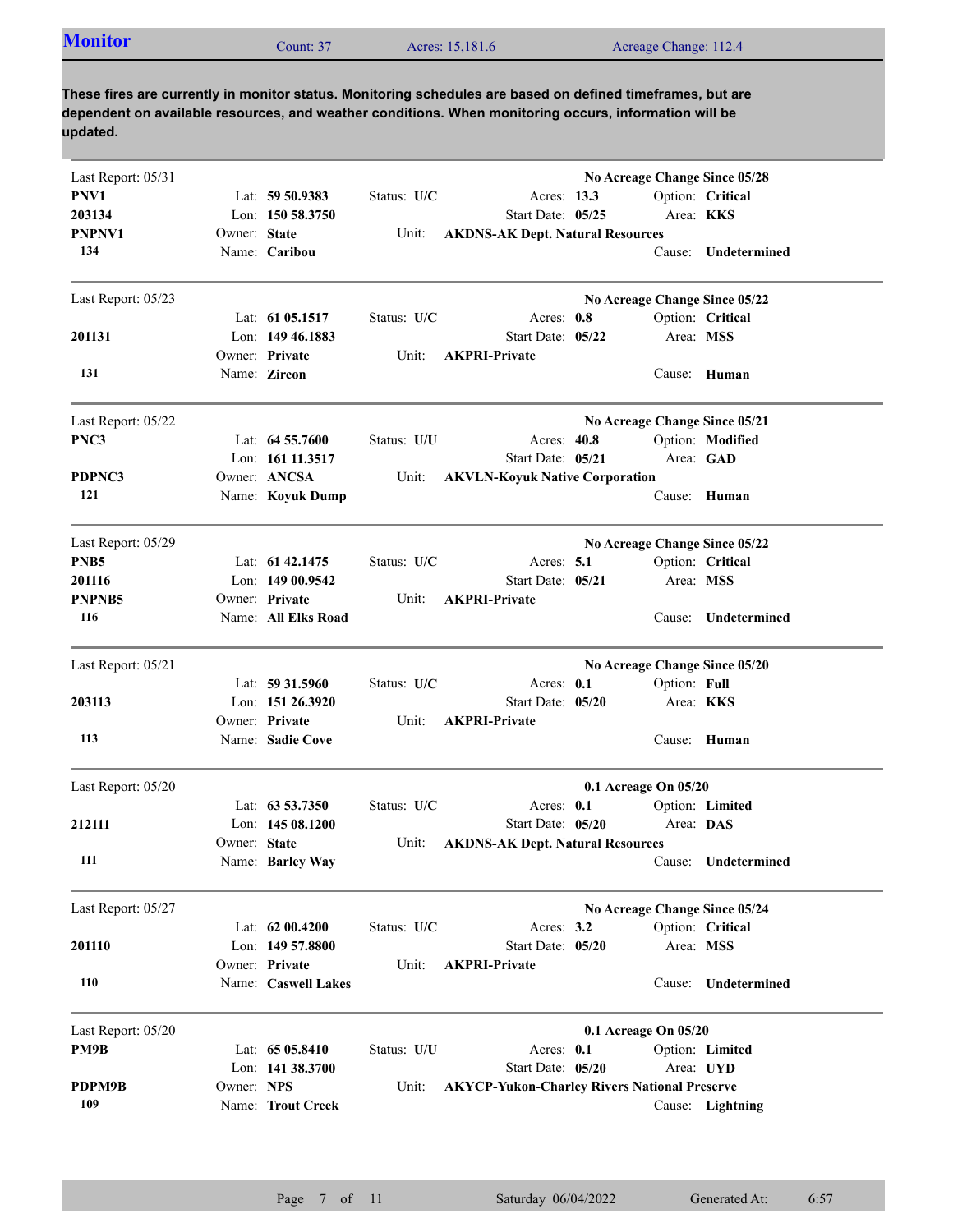| <b>Monitor</b><br>Acres: 15,181.6<br>Acreage Change: 112.4<br>Count: $37$ |  |
|---------------------------------------------------------------------------|--|
|---------------------------------------------------------------------------|--|

| Last Report: 05/31 |              |                     |             |                                                     | No Acreage Change Since 05/28 |              |                     |
|--------------------|--------------|---------------------|-------------|-----------------------------------------------------|-------------------------------|--------------|---------------------|
| PNV1               |              | Lat: 59 50.9383     | Status: U/C | Acres: 13.3                                         |                               |              | Option: Critical    |
| 203134             |              | Lon: 150 58.3750    |             | Start Date: 05/25                                   |                               | Area: KKS    |                     |
| PNPNV1             | Owner: State |                     | Unit:       | <b>AKDNS-AK Dept. Natural Resources</b>             |                               |              |                     |
| 134                |              | Name: Caribou       |             |                                                     |                               | Cause:       | Undetermined        |
| Last Report: 05/23 |              |                     |             |                                                     | No Acreage Change Since 05/22 |              |                     |
|                    |              | Lat: $61\,05.1517$  | Status: U/C | Acres: 0.8                                          |                               |              | Option: Critical    |
| 201131             |              | Lon: 149 46.1883    |             | Start Date: 05/22                                   |                               | Area: MSS    |                     |
|                    |              | Owner: Private      | Unit:       | <b>AKPRI-Private</b>                                |                               |              |                     |
| 131                |              | Name: Zircon        |             |                                                     |                               |              | Cause: Human        |
| Last Report: 05/22 |              |                     |             |                                                     | No Acreage Change Since 05/21 |              |                     |
| PNC3               |              | Lat: $64\,55.7600$  | Status: U/U | Acres: 40.8                                         |                               |              | Option: Modified    |
|                    |              | Lon: 161 11.3517    |             | Start Date: 05/21                                   |                               |              | Area: GAD           |
| PDPNC3             |              | Owner: ANCSA        | Unit:       | <b>AKVLN-Koyuk Native Corporation</b>               |                               |              |                     |
| 121                |              | Name: Koyuk Dump    |             |                                                     |                               |              | Cause: Human        |
| Last Report: 05/29 |              |                     |             |                                                     | No Acreage Change Since 05/22 |              |                     |
| PNB <sub>5</sub>   |              | Lat: $61\,42.1475$  | Status: U/C | Acres: $5.1$                                        |                               |              | Option: Critical    |
| 201116             |              | Lon: 149 00.9542    |             | Start Date: 05/21                                   |                               | Area: MSS    |                     |
| <b>PNPNB5</b>      |              | Owner: Private      | Unit:       | <b>AKPRI-Private</b>                                |                               |              |                     |
| 116                |              | Name: All Elks Road |             |                                                     |                               |              | Cause: Undetermined |
| Last Report: 05/21 |              |                     |             |                                                     | No Acreage Change Since 05/20 |              |                     |
|                    |              | Lat: 59 31.5960     | Status: U/C | Acres: 0.1                                          |                               | Option: Full |                     |
| 203113             |              | Lon: 151 26.3920    |             | Start Date: 05/20                                   |                               | Area: KKS    |                     |
|                    |              | Owner: Private      | Unit:       | <b>AKPRI-Private</b>                                |                               |              |                     |
| 113                |              | Name: Sadie Cove    |             |                                                     |                               |              | Cause: Human        |
| Last Report: 05/20 |              |                     |             |                                                     | 0.1 Acreage On 05/20          |              |                     |
|                    |              | Lat: $63\,53.7350$  | Status: U/C | Acres: $0.1$                                        |                               |              | Option: Limited     |
| 212111             |              | Lon: 145 08.1200    |             | Start Date: 05/20                                   |                               | Area: DAS    |                     |
|                    | Owner: State |                     | Unit:       | <b>AKDNS-AK Dept. Natural Resources</b>             |                               |              |                     |
| 111                |              | Name: Barley Way    |             |                                                     |                               | Cause:       | Undetermined        |
| Last Report: 05/27 |              |                     |             |                                                     | No Acreage Change Since 05/24 |              |                     |
|                    |              | Lat: $6200.4200$    | Status: U/C | Acres: 3.2                                          |                               |              | Option: Critical    |
| 201110             |              | Lon: 149 57.8800    |             | Start Date: 05/20                                   |                               | Area: MSS    |                     |
|                    |              | Owner: Private      | Unit:       | <b>AKPRI-Private</b>                                |                               |              |                     |
| 110                |              | Name: Caswell Lakes |             |                                                     |                               | Cause:       | Undetermined        |
| Last Report: 05/20 |              |                     |             |                                                     | 0.1 Acreage On 05/20          |              |                     |
| PM9B               |              | Lat: 65 05.8410     | Status: U/U | Acres: 0.1                                          |                               |              | Option: Limited     |
|                    |              | Lon: 141 38.3700    |             | Start Date: 05/20                                   |                               |              | Area: UYD           |
| PDPM9B             | Owner: NPS   |                     | Unit:       | <b>AKYCP-Yukon-Charley Rivers National Preserve</b> |                               |              |                     |
| 109                |              | Name: Trout Creek   |             |                                                     |                               |              | Cause: Lightning    |
|                    |              |                     |             |                                                     |                               |              |                     |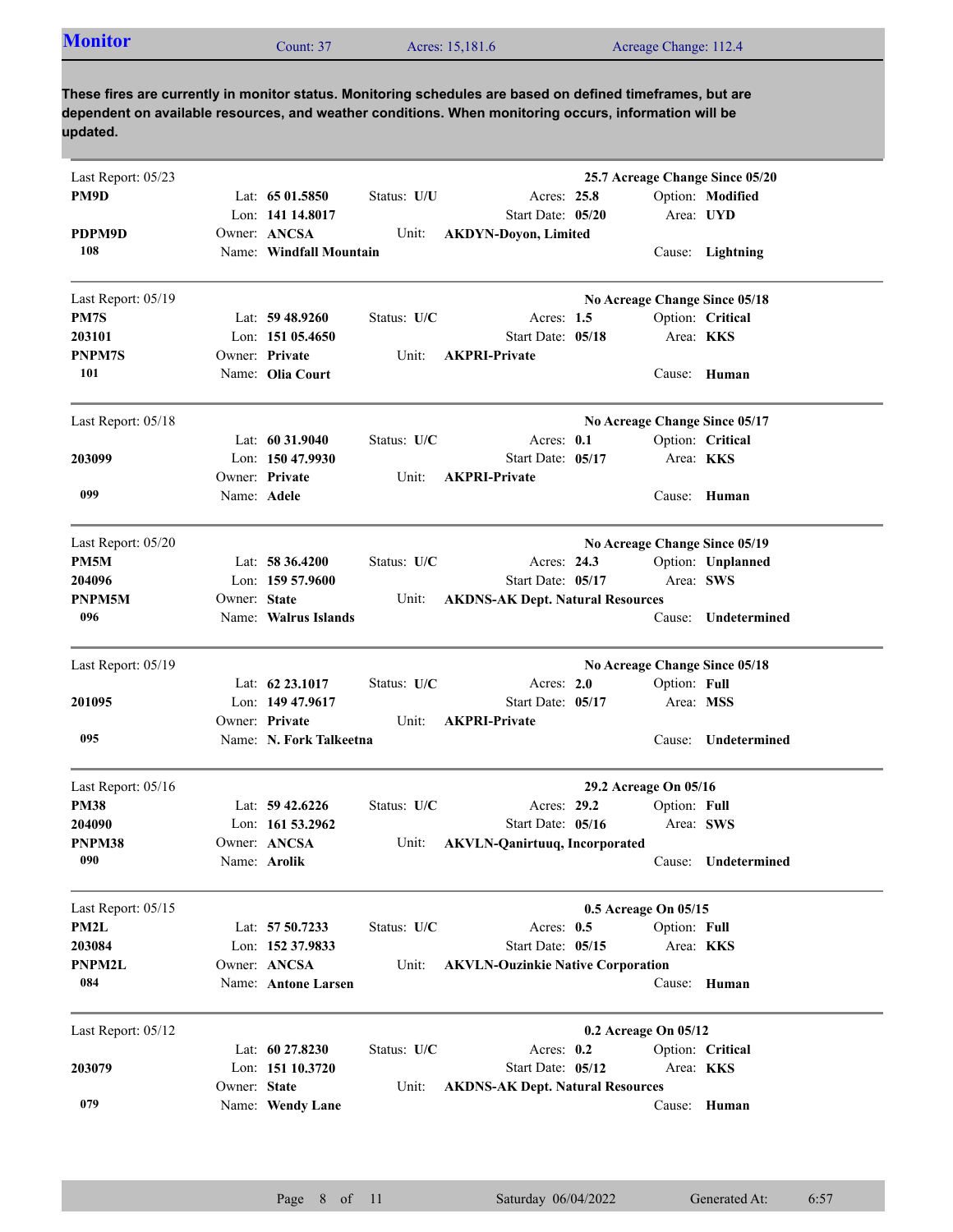|--|

| Last Report: 05/23<br>PM9D<br>Lat: $6501.5850$<br>Status: U/U<br>Acres: 25.8<br>Option: Modified<br>Lon: 141 14.8017<br>Start Date: 05/20<br>Area: UYD<br>Owner: ANCSA<br>PDPM9D<br><b>AKDYN-Doyon, Limited</b><br>Unit:<br>108<br>Name: Windfall Mountain<br>Cause: Lightning<br>Last Report: 05/19<br>No Acreage Change Since 05/18<br>PM7S<br>Lat: $59\,48.9260$<br>Status: U/C<br>Acres: $1.5$<br>Option: Critical<br>Lon: $15105.4650$<br>Start Date: 05/18<br>Area: KKS<br>203101<br>Owner: Private<br><b>AKPRI-Private</b><br>PNPM7S<br>Unit: |  |
|------------------------------------------------------------------------------------------------------------------------------------------------------------------------------------------------------------------------------------------------------------------------------------------------------------------------------------------------------------------------------------------------------------------------------------------------------------------------------------------------------------------------------------------------------|--|
|                                                                                                                                                                                                                                                                                                                                                                                                                                                                                                                                                      |  |
|                                                                                                                                                                                                                                                                                                                                                                                                                                                                                                                                                      |  |
|                                                                                                                                                                                                                                                                                                                                                                                                                                                                                                                                                      |  |
|                                                                                                                                                                                                                                                                                                                                                                                                                                                                                                                                                      |  |
|                                                                                                                                                                                                                                                                                                                                                                                                                                                                                                                                                      |  |
|                                                                                                                                                                                                                                                                                                                                                                                                                                                                                                                                                      |  |
|                                                                                                                                                                                                                                                                                                                                                                                                                                                                                                                                                      |  |
|                                                                                                                                                                                                                                                                                                                                                                                                                                                                                                                                                      |  |
| 101<br>Name: Olia Court<br>Cause: Human                                                                                                                                                                                                                                                                                                                                                                                                                                                                                                              |  |
| Last Report: 05/18<br>No Acreage Change Since 05/17                                                                                                                                                                                                                                                                                                                                                                                                                                                                                                  |  |
| Lat: $60\,31.9040$<br>Status: U/C<br>Acres: 0.1<br>Option: Critical                                                                                                                                                                                                                                                                                                                                                                                                                                                                                  |  |
| Lon: 150 47.9930<br>203099<br>Start Date: 05/17<br>Area: <b>KKS</b>                                                                                                                                                                                                                                                                                                                                                                                                                                                                                  |  |
| Owner: Private<br>Unit:<br><b>AKPRI-Private</b>                                                                                                                                                                                                                                                                                                                                                                                                                                                                                                      |  |
| 099<br>Name: Adele<br>Cause: Human                                                                                                                                                                                                                                                                                                                                                                                                                                                                                                                   |  |
|                                                                                                                                                                                                                                                                                                                                                                                                                                                                                                                                                      |  |
| No Acreage Change Since 05/19<br>Last Report: 05/20                                                                                                                                                                                                                                                                                                                                                                                                                                                                                                  |  |
| PM5M<br>Lat: 58 36.4200<br>Status: U/C<br>Acres: 24.3<br>Option: Unplanned<br>Area: SWS<br>Lon: $15957.9600$<br>Start Date: 05/17                                                                                                                                                                                                                                                                                                                                                                                                                    |  |
| 204096<br>Owner: State                                                                                                                                                                                                                                                                                                                                                                                                                                                                                                                               |  |
| PNPM5M<br><b>AKDNS-AK Dept. Natural Resources</b><br>Unit:<br>096                                                                                                                                                                                                                                                                                                                                                                                                                                                                                    |  |
| Name: Walrus Islands<br>Undetermined<br>Cause:                                                                                                                                                                                                                                                                                                                                                                                                                                                                                                       |  |
| Last Report: 05/19<br>No Acreage Change Since 05/18                                                                                                                                                                                                                                                                                                                                                                                                                                                                                                  |  |
| Lat: 62 23.1017<br>Acres: 2.0<br>Status: U/C<br>Option: Full                                                                                                                                                                                                                                                                                                                                                                                                                                                                                         |  |
| 201095<br>Lon: 149 47.9617<br>Start Date: 05/17<br>Area: MSS                                                                                                                                                                                                                                                                                                                                                                                                                                                                                         |  |
| Owner: Private<br><b>AKPRI-Private</b><br>Unit:                                                                                                                                                                                                                                                                                                                                                                                                                                                                                                      |  |
| 095<br>Name: N. Fork Talkeetna<br>Undetermined<br>Cause:                                                                                                                                                                                                                                                                                                                                                                                                                                                                                             |  |
| Last Report: 05/16<br>29.2 Acreage On 05/16                                                                                                                                                                                                                                                                                                                                                                                                                                                                                                          |  |
| <b>PM38</b><br>Status: U/C<br>Acres: 29.2<br>Option: Full<br>Lat: $59\,42.6226$                                                                                                                                                                                                                                                                                                                                                                                                                                                                      |  |
| Area: SWS<br>204090<br>Lon: $161\,53.2962$<br>Start Date: 05/16                                                                                                                                                                                                                                                                                                                                                                                                                                                                                      |  |
| PNPM38<br><b>AKVLN-Qanirtuuq, Incorporated</b><br>Owner: ANCSA<br>Unit:                                                                                                                                                                                                                                                                                                                                                                                                                                                                              |  |
| Undetermined<br>090<br>Name: <b>Arolik</b><br>Cause:                                                                                                                                                                                                                                                                                                                                                                                                                                                                                                 |  |
| Last Report: 05/15<br>0.5 Acreage On 05/15                                                                                                                                                                                                                                                                                                                                                                                                                                                                                                           |  |
| PM2L<br>Lat: 57 50.7233<br>Status: U/C<br>Acres: $0.5$<br>Option: Full                                                                                                                                                                                                                                                                                                                                                                                                                                                                               |  |
| Area: KKS<br>203084<br>Lon: 152 37.9833<br>Start Date: 05/15                                                                                                                                                                                                                                                                                                                                                                                                                                                                                         |  |
| PNPM2L<br>Owner: ANCSA<br>Unit:<br><b>AKVLN-Ouzinkie Native Corporation</b>                                                                                                                                                                                                                                                                                                                                                                                                                                                                          |  |
| 084<br>Name: Antone Larsen<br>Cause: Human                                                                                                                                                                                                                                                                                                                                                                                                                                                                                                           |  |
| 0.2 Acreage On 05/12<br>Last Report: 05/12                                                                                                                                                                                                                                                                                                                                                                                                                                                                                                           |  |
| Lat: 60 27.8230<br>Status: U/C<br>Acres: 0.2<br>Option: Critical                                                                                                                                                                                                                                                                                                                                                                                                                                                                                     |  |
| Start Date: 05/12<br>203079<br>Lon: 151 10.3720<br>Area: KKS                                                                                                                                                                                                                                                                                                                                                                                                                                                                                         |  |
| Owner: State<br><b>AKDNS-AK Dept. Natural Resources</b><br>Unit:                                                                                                                                                                                                                                                                                                                                                                                                                                                                                     |  |
| 079<br>Cause: Human<br>Name: Wendy Lane                                                                                                                                                                                                                                                                                                                                                                                                                                                                                                              |  |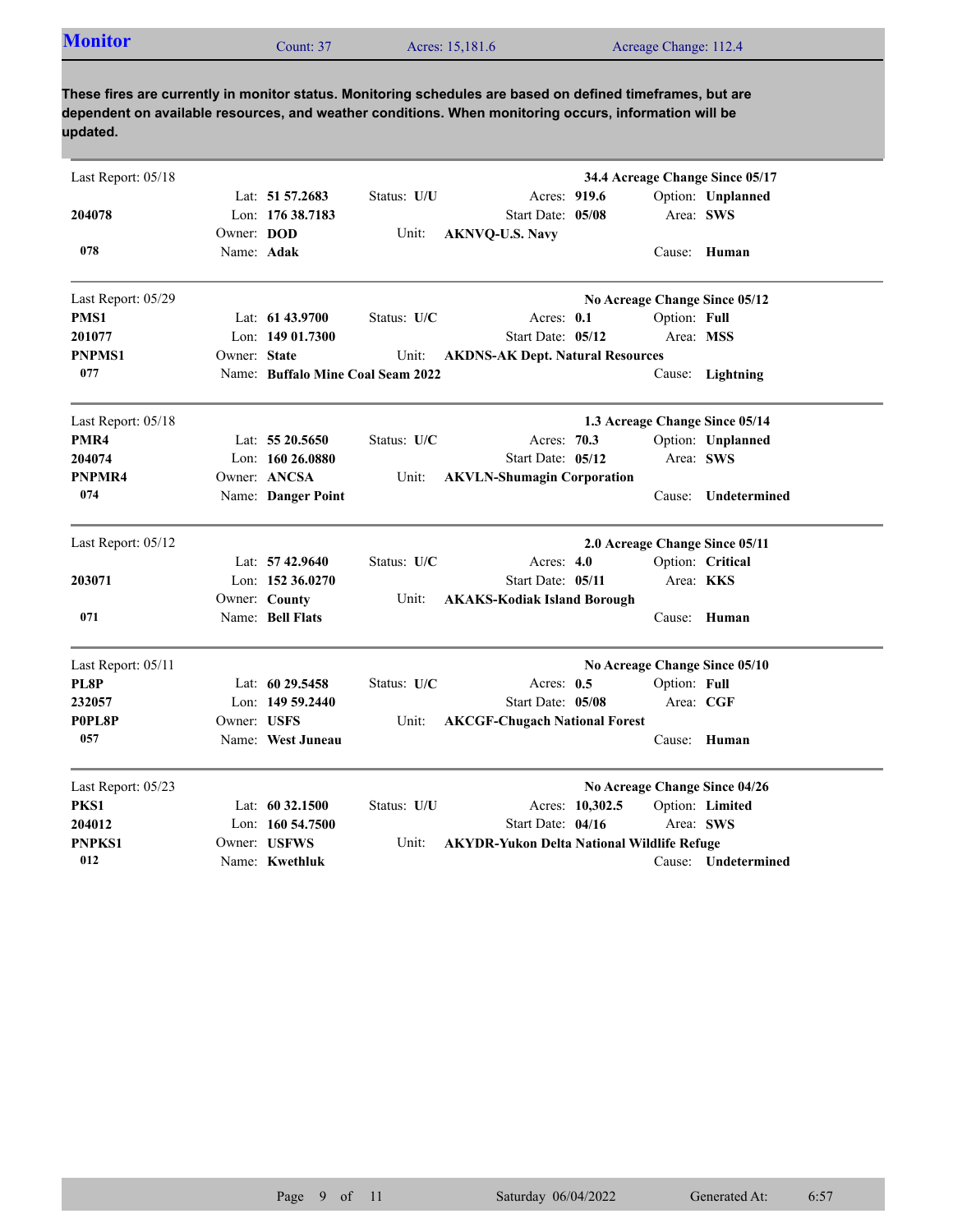| <b>Monitor</b> | Count: 37 | Acres: 15,181.6 | Acreage Change: 112.4 |
|----------------|-----------|-----------------|-----------------------|

| Last Report: 05/18 |              |                                   |             |                                                   |                 |                                | 34.4 Acreage Change Since 05/17 |
|--------------------|--------------|-----------------------------------|-------------|---------------------------------------------------|-----------------|--------------------------------|---------------------------------|
|                    |              | Lat: 51 57.2683                   | Status: U/U | Acres: 919.6                                      |                 |                                | Option: Unplanned               |
| 204078             |              | Lon: 176 38.7183                  |             | Start Date: 05/08                                 |                 | Area: SWS                      |                                 |
|                    | Owner: DOD   |                                   | Unit:       | <b>AKNVQ-U.S. Navy</b>                            |                 |                                |                                 |
| 078                | Name: Adak   |                                   |             |                                                   |                 |                                | Cause: Human                    |
| Last Report: 05/29 |              |                                   |             |                                                   |                 | No Acreage Change Since 05/12  |                                 |
| PMS1               |              | Lat: 61 43.9700                   | Status: U/C | Acres: 0.1                                        |                 | Option: Full                   |                                 |
| 201077             |              | Lon: $14901.7300$                 |             | Start Date: 05/12                                 |                 | Area: MSS                      |                                 |
| <b>PNPMS1</b>      | Owner: State |                                   | Unit:       | <b>AKDNS-AK Dept. Natural Resources</b>           |                 |                                |                                 |
| 077                |              | Name: Buffalo Mine Coal Seam 2022 |             |                                                   |                 |                                | Cause: Lightning                |
| Last Report: 05/18 |              |                                   |             |                                                   |                 | 1.3 Acreage Change Since 05/14 |                                 |
| PMR4               |              | Lat: 55 20.5650                   | Status: U/C | Acres: 70.3                                       |                 |                                | Option: Unplanned               |
| 204074             |              | Lon: $16026.0880$                 |             | Start Date: 05/12                                 |                 | Area: SWS                      |                                 |
| PNPMR4             |              | Owner: ANCSA                      | Unit:       | <b>AKVLN-Shumagin Corporation</b>                 |                 |                                |                                 |
| 074                |              | Name: Danger Point                |             |                                                   |                 | Cause:                         | Undetermined                    |
| Last Report: 05/12 |              |                                   |             |                                                   |                 | 2.0 Acreage Change Since 05/11 |                                 |
|                    |              | Lat: 57 42.9640                   | Status: U/C | Acres: 4.0                                        |                 |                                | Option: Critical                |
| 203071             |              | Lon: $15236.0270$                 |             | Start Date: 05/11                                 |                 | Area: KKS                      |                                 |
|                    |              | Owner: County                     | Unit:       | <b>AKAKS-Kodiak Island Borough</b>                |                 |                                |                                 |
| 071                |              | Name: Bell Flats                  |             |                                                   |                 |                                | Cause: Human                    |
| Last Report: 05/11 |              |                                   |             |                                                   |                 | No Acreage Change Since 05/10  |                                 |
| PL8P               |              | Lat: 60 29.5458                   | Status: U/C | Acres: 0.5                                        |                 | Option: Full                   |                                 |
| 232057             |              | Lon: $14959.2440$                 |             | Start Date: 05/08                                 |                 | Area: CGF                      |                                 |
| P0PL8P             | Owner: USFS  |                                   | Unit:       | <b>AKCGF-Chugach National Forest</b>              |                 |                                |                                 |
| 057                |              | Name: West Juneau                 |             |                                                   |                 |                                | Cause: Human                    |
| Last Report: 05/23 |              |                                   |             |                                                   |                 | No Acreage Change Since 04/26  |                                 |
| PKS1               |              | Lat: $60\,32.1500$                | Status: U/U |                                                   | Acres: 10,302.5 |                                | Option: Limited                 |
| 204012             |              | Lon: $160\,54.7500$               |             | Start Date: 04/16                                 |                 | Area: SWS                      |                                 |
| <b>PNPKS1</b>      |              | Owner: USFWS                      | Unit:       | <b>AKYDR-Yukon Delta National Wildlife Refuge</b> |                 |                                |                                 |
| 012                |              | Name: Kwethluk                    |             |                                                   |                 |                                | Cause: Undetermined             |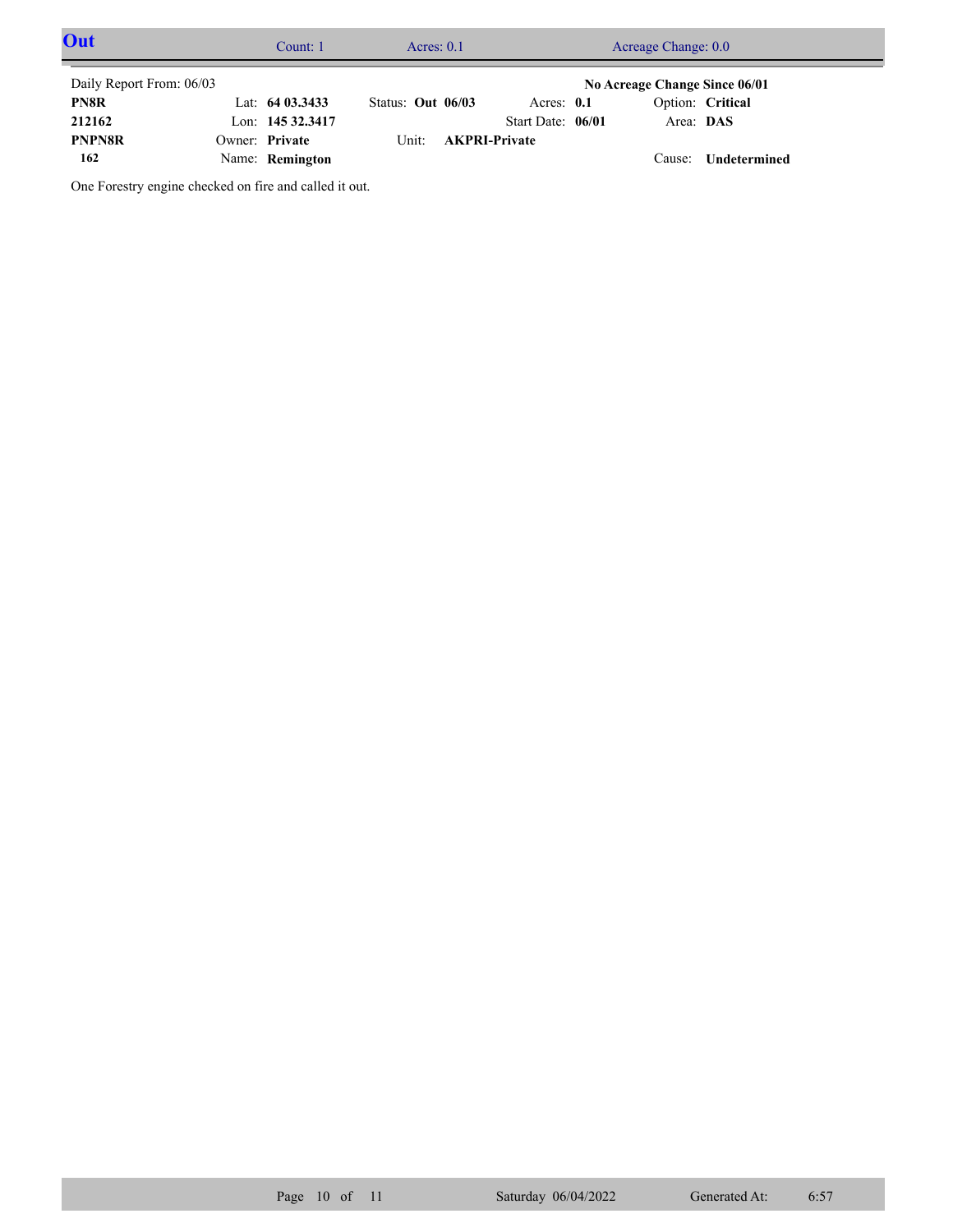| Out                      | Count: 1         |                     | Acres: $0.1$ |                      | Acreage Change: 0.0           |                     |  |
|--------------------------|------------------|---------------------|--------------|----------------------|-------------------------------|---------------------|--|
| Daily Report From: 06/03 |                  |                     |              |                      | No Acreage Change Since 06/01 |                     |  |
| PN8R                     | Lat: $6403.3433$ | Status: Out $06/03$ |              | Acres: $0.1$         |                               | Option: Critical    |  |
| 212162                   | Lon: 145 32.3417 |                     |              | Start Date: 06/01    | Area: DAS                     |                     |  |
| <b>PNPN8R</b>            | Owner: Private   |                     | Unit:        | <b>AKPRI-Private</b> |                               |                     |  |
| 162                      | Name: Remington  |                     |              |                      | Cause:                        | <b>Undetermined</b> |  |

One Forestry engine checked on fire and called it out.